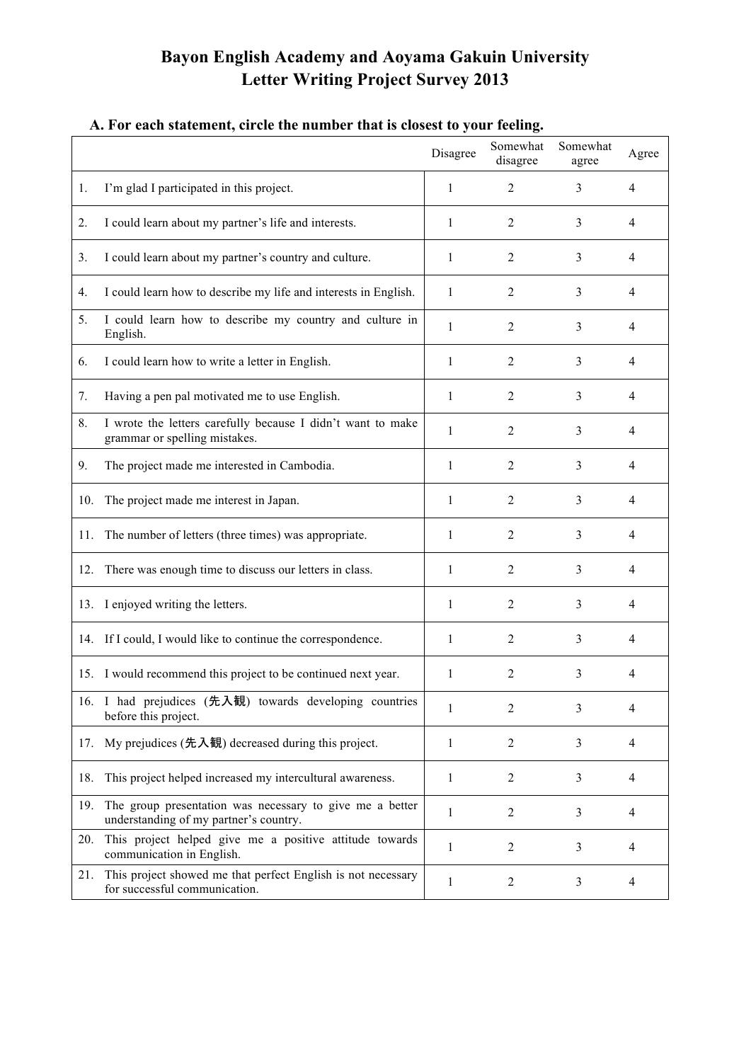## **Bayon English Academy and Aoyama Gakuin University Letter Writing Project Survey 2013**

## Disagree Somewhat disagree Somewhat agree Agree 1. I'm glad I participated in this project.  $\begin{array}{cccc} 1 & 2 & 3 & 4 \end{array}$ 2. I could learn about my partner's life and interests.  $\begin{array}{cccc} | & 1 & 2 & 3 & 4 \end{array}$ 3. I could learn about my partner's country and culture. 1 2 3 4 4. I could learn how to describe my life and interests in English.  $\begin{array}{ccc} 1 & 2 & 3 & 4 \end{array}$ 5. I could learn how to describe my country and culture in  $\begin{array}{|l|l|} 1 & 2 & 3 & 4 \end{array}$ 6. I could learn how to write a letter in English.  $\begin{array}{cccc} 1 & 2 & 3 & 4 \end{array}$ 7. Having a pen pal motivated me to use English.  $\begin{array}{ccc} 1 & 2 & 3 & 4 \end{array}$ 8. I wrote the letters carefully because I didn't want to make provide the letters carefully because 1 didn't want to make  $\begin{vmatrix} 1 & 2 & 3 & 4 \end{vmatrix}$ 9. The project made me interested in Cambodia. 1 2 3 4 10. The project made me interest in Japan. 1 2 3 4 11. The number of letters (three times) was appropriate.  $\begin{array}{cccc} | & 1 & 2 & 3 & 4 \end{array}$ 12. There was enough time to discuss our letters in class.  $\begin{array}{cccc} | & 1 & 2 & 3 & 4 \end{array}$ 13. I enjoyed writing the letters. 1 2 3 4 14. If I could, I would like to continue the correspondence. 1 1 2 3 4 15. I would recommend this project to be continued next year. 1 2 3 4 16. I had prejudices (先入観) towards developing countries  $\begin{array}{|l|l|} \hline 1 & 2 & 3 & 4 \end{array}$ 17. My prejudices  $( ,\overline{R},\overline{R})$  decreased during this project.  $\begin{array}{cccc} | & 1 & 2 & 3 & 4 \end{array}$ 18. This project helped increased my intercultural awareness. 1 1 2 3 4 19. The group presentation was necessary to give me a better The group presentation was necessary to give the a better  $\begin{vmatrix} 1 & 2 & 3 & 4 \end{vmatrix}$ 20. This project helped give me a positive attitude towards This project helped give the a positive attitude towards  $\begin{vmatrix} 1 & 2 & 3 & 4 \end{vmatrix}$ 21. This project showed me that perfect English is not necessary Finis project showed me that perfect english is not necessary 1 2 3 4

## **A. For each statement, circle the number that is closest to your feeling.**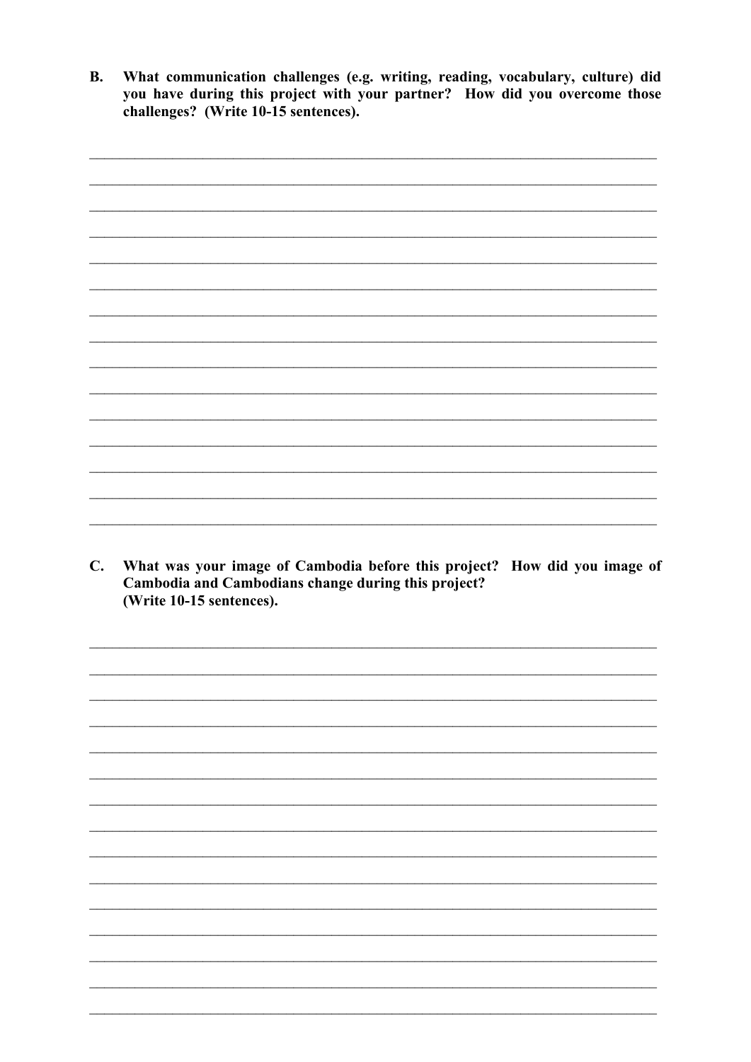**B.** What communication challenges (e.g. writing, reading, vocabulary, culture) did you have during this project with your partner? How did you overcome those challenges? (Write 10-15 sentences).

C. What was your image of Cambodia before this project? How did you image of Cambodia and Cambodians change during this project? (Write 10-15 sentences).